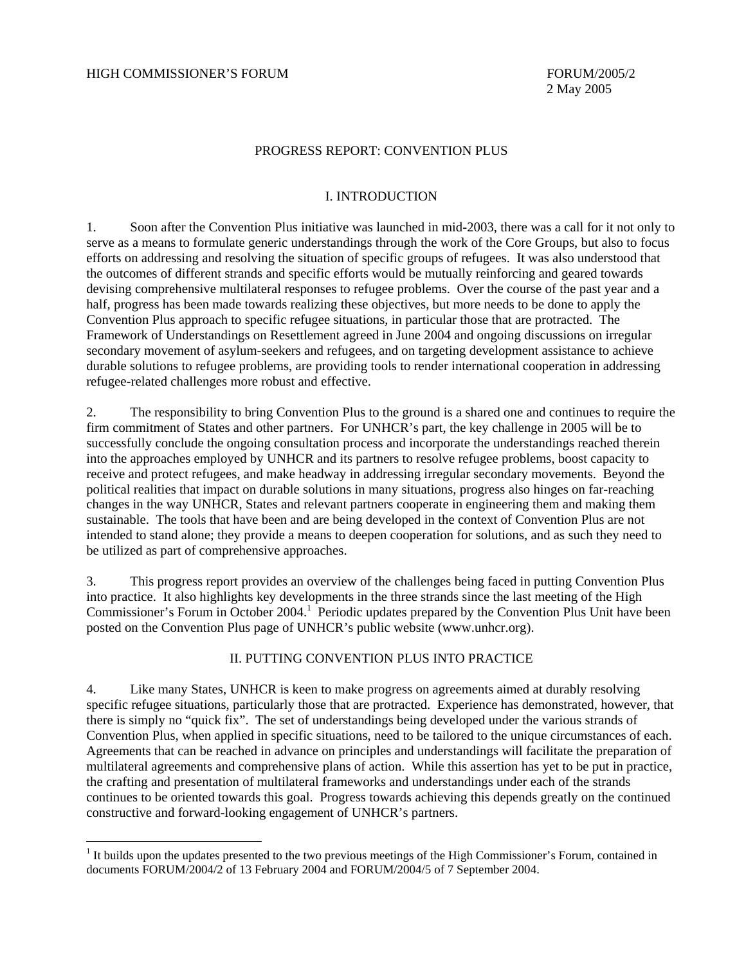$\overline{a}$ 

### PROGRESS REPORT: CONVENTION PLUS

#### I. INTRODUCTION

1. Soon after the Convention Plus initiative was launched in mid-2003, there was a call for it not only to serve as a means to formulate generic understandings through the work of the Core Groups, but also to focus efforts on addressing and resolving the situation of specific groups of refugees. It was also understood that the outcomes of different strands and specific efforts would be mutually reinforcing and geared towards devising comprehensive multilateral responses to refugee problems. Over the course of the past year and a half, progress has been made towards realizing these objectives, but more needs to be done to apply the Convention Plus approach to specific refugee situations, in particular those that are protracted. The Framework of Understandings on Resettlement agreed in June 2004 and ongoing discussions on irregular secondary movement of asylum-seekers and refugees, and on targeting development assistance to achieve durable solutions to refugee problems, are providing tools to render international cooperation in addressing refugee-related challenges more robust and effective.

2. The responsibility to bring Convention Plus to the ground is a shared one and continues to require the firm commitment of States and other partners. For UNHCR's part, the key challenge in 2005 will be to successfully conclude the ongoing consultation process and incorporate the understandings reached therein into the approaches employed by UNHCR and its partners to resolve refugee problems, boost capacity to receive and protect refugees, and make headway in addressing irregular secondary movements. Beyond the political realities that impact on durable solutions in many situations, progress also hinges on far-reaching changes in the way UNHCR, States and relevant partners cooperate in engineering them and making them sustainable. The tools that have been and are being developed in the context of Convention Plus are not intended to stand alone; they provide a means to deepen cooperation for solutions, and as such they need to be utilized as part of comprehensive approaches.

3. This progress report provides an overview of the challenges being faced in putting Convention Plus into practice. It also highlights key developments in the three strands since the last meeting of the High Commissioner's Forum in October 2004.<sup>1</sup> Periodic updates prepared by the Convention Plus Unit have been posted on the Convention Plus page of UNHCR's public website [\(www.unhcr.](http://www.unhcr.org)org).

# II. PUTTING CONVENTION PLUS INTO PRACTICE

4. Like many States, UNHCR is keen to make progress on agreements aimed at durably resolving specific refugee situations, particularly those that are protracted. Experience has demonstrated, however, that there is simply no "quick fix". The set of understandings being developed under the various strands of Convention Plus, when applied in specific situations, need to be tailored to the unique circumstances of each. Agreements that can be reached in advance on principles and understandings will facilitate the preparation of multilateral agreements and comprehensive plans of action. While this assertion has yet to be put in practice, the crafting and presentation of multilateral frameworks and understandings under each of the strands continues to be oriented towards this goal. Progress towards achieving this depends greatly on the continued constructive and forward-looking engagement of UNHCR's partners.

<sup>&</sup>lt;sup>1</sup> It builds upon the updates presented to the two previous meetings of the High Commissioner's Forum, contained in documents FORUM/2004/2 of 13 February 2004 and FORUM/2004/5 of 7 September 2004.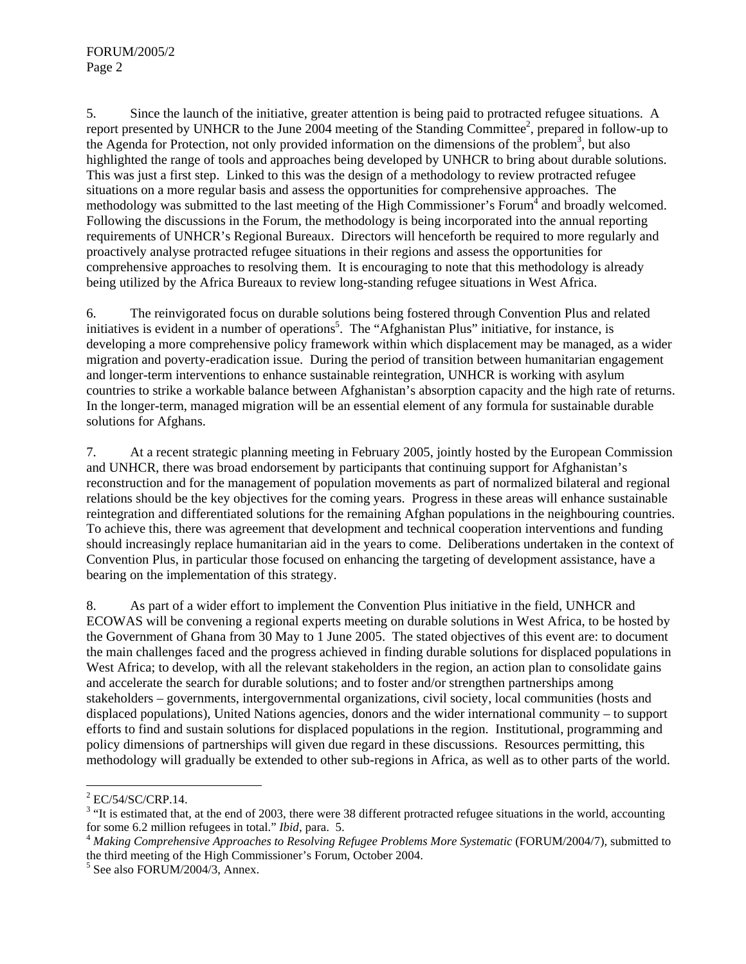5. Since the launch of the initiative, greater attention is being paid to protracted refugee situations. A report presented by UNHCR to the June 2004 meeting of the Standing Committee<sup>2</sup>, prepared in follow-up to the Agenda for Protection, not only provided information on the dimensions of the problem<sup>3</sup>, but also highlighted the range of tools and approaches being developed by UNHCR to bring about durable solutions. This was just a first step. Linked to this was the design of a methodology to review protracted refugee situations on a more regular basis and assess the opportunities for comprehensive approaches. The methodology was submitted to the last meeting of the High Commissioner's Forum<sup>4</sup> and broadly welcomed. Following the discussions in the Forum, the methodology is being incorporated into the annual reporting requirements of UNHCR's Regional Bureaux. Directors will henceforth be required to more regularly and proactively analyse protracted refugee situations in their regions and assess the opportunities for comprehensive approaches to resolving them. It is encouraging to note that this methodology is already being utilized by the Africa Bureaux to review long-standing refugee situations in West Africa.

6. The reinvigorated focus on durable solutions being fostered through Convention Plus and related initiatives is evident in a number of operations<sup>5</sup>. The "Afghanistan Plus" initiative, for instance, is developing a more comprehensive policy framework within which displacement may be managed, as a wider migration and poverty-eradication issue. During the period of transition between humanitarian engagement and longer-term interventions to enhance sustainable reintegration, UNHCR is working with asylum countries to strike a workable balance between Afghanistan's absorption capacity and the high rate of returns. In the longer-term, managed migration will be an essential element of any formula for sustainable durable solutions for Afghans.

7. At a recent strategic planning meeting in February 2005, jointly hosted by the European Commission and UNHCR, there was broad endorsement by participants that continuing support for Afghanistan's reconstruction and for the management of population movements as part of normalized bilateral and regional relations should be the key objectives for the coming years. Progress in these areas will enhance sustainable reintegration and differentiated solutions for the remaining Afghan populations in the neighbouring countries. To achieve this, there was agreement that development and technical cooperation interventions and funding should increasingly replace humanitarian aid in the years to come. Deliberations undertaken in the context of Convention Plus, in particular those focused on enhancing the targeting of development assistance, have a bearing on the implementation of this strategy.

8. As part of a wider effort to implement the Convention Plus initiative in the field, UNHCR and ECOWAS will be convening a regional experts meeting on durable solutions in West Africa, to be hosted by the Government of Ghana from 30 May to 1 June 2005. The stated objectives of this event are: to document the main challenges faced and the progress achieved in finding durable solutions for displaced populations in West Africa; to develop, with all the relevant stakeholders in the region, an action plan to consolidate gains and accelerate the search for durable solutions; and to foster and/or strengthen partnerships among stakeholders – governments, intergovernmental organizations, civil society, local communities (hosts and displaced populations), United Nations agencies, donors and the wider international community – to support efforts to find and sustain solutions for displaced populations in the region. Institutional, programming and policy dimensions of partnerships will given due regard in these discussions. Resources permitting, this methodology will gradually be extended to other sub-regions in Africa, as well as to other parts of the world.

 $2$  EC/54/SC/CRP.14.

 $3$  "It is estimated that, at the end of 2003, there were 38 different protracted refugee situations in the world, accounting for some 6.2 million refugees in total." *Ibid,* para. 5. 4 *Making Comprehensive Approaches to Resolving Refugee Problems More Systematic* (FORUM/2004/7), submitted to

the third meeting of the High Commissioner's Forum, October 2004.

<sup>5</sup> See also FORUM/2004/3, Annex.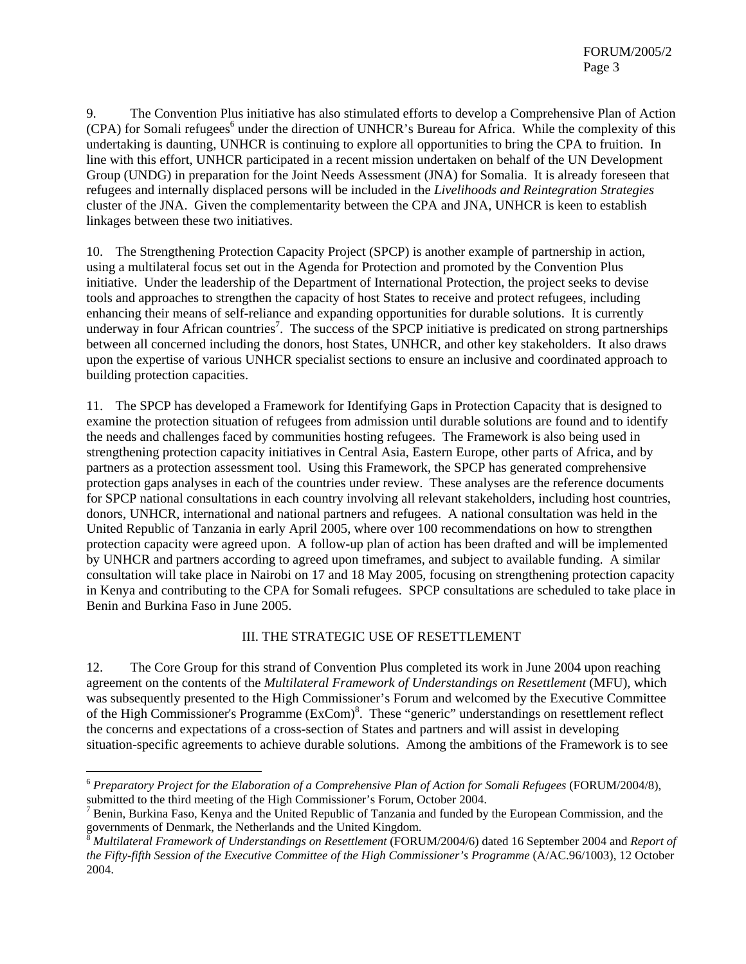9. The Convention Plus initiative has also stimulated efforts to develop a Comprehensive Plan of Action (CPA) for Somali refugees<sup>6</sup> under the direction of UNHCR's Bureau for Africa. While the complexity of this undertaking is daunting, UNHCR is continuing to explore all opportunities to bring the CPA to fruition. In line with this effort, UNHCR participated in a recent mission undertaken on behalf of the UN Development Group (UNDG) in preparation for the Joint Needs Assessment (JNA) for Somalia. It is already foreseen that refugees and internally displaced persons will be included in the *Livelihoods and Reintegration Strategies*  cluster of the JNA. Given the complementarity between the CPA and JNA, UNHCR is keen to establish linkages between these two initiatives.

10. The Strengthening Protection Capacity Project (SPCP) is another example of partnership in action, using a multilateral focus set out in the Agenda for Protection and promoted by the Convention Plus initiative. Under the leadership of the Department of International Protection, the project seeks to devise tools and approaches to strengthen the capacity of host States to receive and protect refugees, including enhancing their means of self-reliance and expanding opportunities for durable solutions. It is currently underway in four African countries<sup>7</sup>. The success of the SPCP initiative is predicated on strong partnerships between all concerned including the donors, host States, UNHCR, and other key stakeholders. It also draws upon the expertise of various UNHCR specialist sections to ensure an inclusive and coordinated approach to building protection capacities.

11. The SPCP has developed a Framework for Identifying Gaps in Protection Capacity that is designed to examine the protection situation of refugees from admission until durable solutions are found and to identify the needs and challenges faced by communities hosting refugees. The Framework is also being used in strengthening protection capacity initiatives in Central Asia, Eastern Europe, other parts of Africa, and by partners as a protection assessment tool. Using this Framework, the SPCP has generated comprehensive protection gaps analyses in each of the countries under review. These analyses are the reference documents for SPCP national consultations in each country involving all relevant stakeholders, including host countries, donors, UNHCR, international and national partners and refugees. A national consultation was held in the United Republic of Tanzania in early April 2005, where over 100 recommendations on how to strengthen protection capacity were agreed upon. A follow-up plan of action has been drafted and will be implemented by UNHCR and partners according to agreed upon timeframes, and subject to available funding. A similar consultation will take place in Nairobi on 17 and 18 May 2005, focusing on strengthening protection capacity in Kenya and contributing to the CPA for Somali refugees. SPCP consultations are scheduled to take place in Benin and Burkina Faso in June 2005.

### III. THE STRATEGIC USE OF RESETTLEMENT

12. The Core Group for this strand of Convention Plus completed its work in June 2004 upon reaching agreement on the contents of the *Multilateral Framework of Understandings on Resettlement* (MFU), which was subsequently presented to the High Commissioner's Forum and welcomed by the Executive Committee of the High Commissioner's Programme (ExCom)<sup>8</sup>. These "generic" understandings on resettlement reflect the concerns and expectations of a cross-section of States and partners and will assist in developing situation-specific agreements to achieve durable solutions. Among the ambitions of the Framework is to see

<sup>6</sup> *Preparatory Project for the Elaboration of a Comprehensive Plan of Action for Somali Refugees* (FORUM/2004/8), submitted to the third meeting of the High Commissioner's Forum, October 2004.

 $^7$  Benin, Burkina Faso, Kenya and the United Republic of Tanzania and funded by the European Commission, and the governments of Denmark, the Netherlands and the United Kingdom.

<sup>8</sup> *Multilateral Framework of Understandings on Resettlement* (FORUM/2004/6) dated 16 September 2004 and *Report of the Fifty-fifth Session of the Executive Committee of the High Commissioner's Programme* (A/AC.96/1003), 12 October 2004.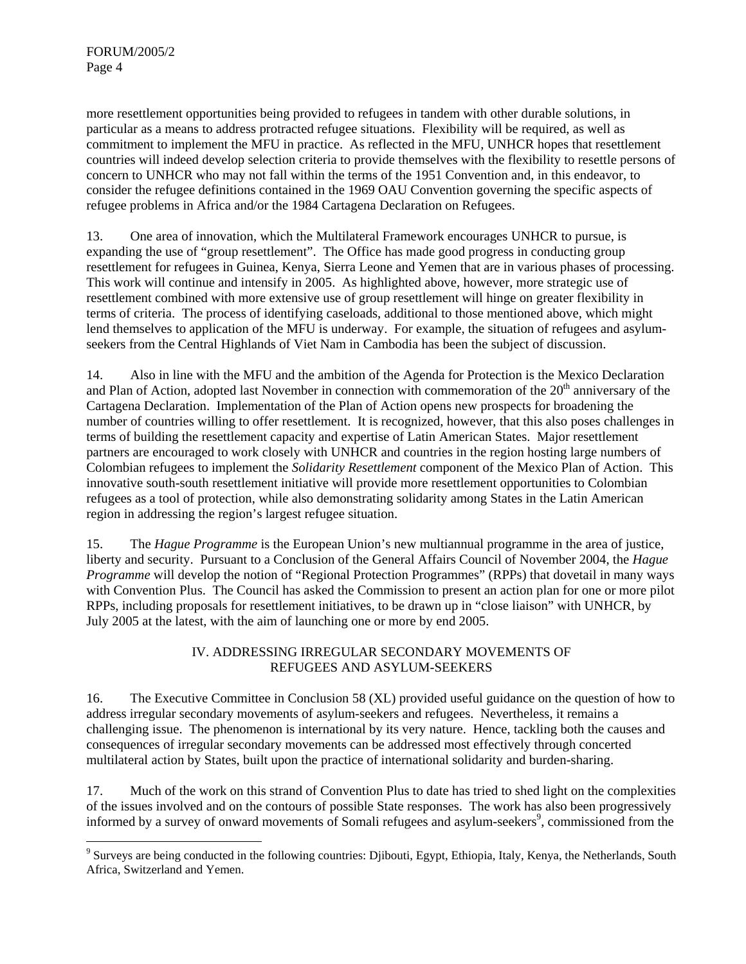more resettlement opportunities being provided to refugees in tandem with other durable solutions, in particular as a means to address protracted refugee situations. Flexibility will be required, as well as commitment to implement the MFU in practice. As reflected in the MFU, UNHCR hopes that resettlement countries will indeed develop selection criteria to provide themselves with the flexibility to resettle persons of concern to UNHCR who may not fall within the terms of the 1951 Convention and, in this endeavor, to consider the refugee definitions contained in the 1969 OAU Convention governing the specific aspects of refugee problems in Africa and/or the 1984 Cartagena Declaration on Refugees.

13. One area of innovation, which the Multilateral Framework encourages UNHCR to pursue, is expanding the use of "group resettlement". The Office has made good progress in conducting group resettlement for refugees in Guinea, Kenya, Sierra Leone and Yemen that are in various phases of processing. This work will continue and intensify in 2005. As highlighted above, however, more strategic use of resettlement combined with more extensive use of group resettlement will hinge on greater flexibility in terms of criteria. The process of identifying caseloads, additional to those mentioned above, which might lend themselves to application of the MFU is underway. For example, the situation of refugees and asylumseekers from the Central Highlands of Viet Nam in Cambodia has been the subject of discussion.

14. Also in line with the MFU and the ambition of the Agenda for Protection is the Mexico Declaration and Plan of Action, adopted last November in connection with commemoration of the 20<sup>th</sup> anniversary of the Cartagena Declaration. Implementation of the Plan of Action opens new prospects for broadening the number of countries willing to offer resettlement. It is recognized, however, that this also poses challenges in terms of building the resettlement capacity and expertise of Latin American States. Major resettlement partners are encouraged to work closely with UNHCR and countries in the region hosting large numbers of Colombian refugees to implement the *Solidarity Resettlement* component of the Mexico Plan of Action. This innovative south-south resettlement initiative will provide more resettlement opportunities to Colombian refugees as a tool of protection, while also demonstrating solidarity among States in the Latin American region in addressing the region's largest refugee situation.

15. The *Hague Programme* is the European Union's new multiannual programme in the area of justice, liberty and security. Pursuant to a Conclusion of the General Affairs Council of November 2004, the *Hague Programme* will develop the notion of "Regional Protection Programmes" (RPPs) that dovetail in many ways with Convention Plus. The Council has asked the Commission to present an action plan for one or more pilot RPPs, including proposals for resettlement initiatives, to be drawn up in "close liaison" with UNHCR, by July 2005 at the latest, with the aim of launching one or more by end 2005.

# IV. ADDRESSING IRREGULAR SECONDARY MOVEMENTS OF REFUGEES AND ASYLUM-SEEKERS

16. The Executive Committee in Conclusion 58 (XL) provided useful guidance on the question of how to address irregular secondary movements of asylum-seekers and refugees. Nevertheless, it remains a challenging issue. The phenomenon is international by its very nature. Hence, tackling both the causes and consequences of irregular secondary movements can be addressed most effectively through concerted multilateral action by States, built upon the practice of international solidarity and burden-sharing.

17. Much of the work on this strand of Convention Plus to date has tried to shed light on the complexities of the issues involved and on the contours of possible State responses. The work has also been progressively informed by a survey of onward movements of Somali refugees and asylum-seekers<sup>9</sup>, commissioned from the

<sup>&</sup>lt;sup>9</sup> Surveys are being conducted in the following countries: Djibouti, Egypt, Ethiopia, Italy, Kenya, the Netherlands, South Africa, Switzerland and Yemen.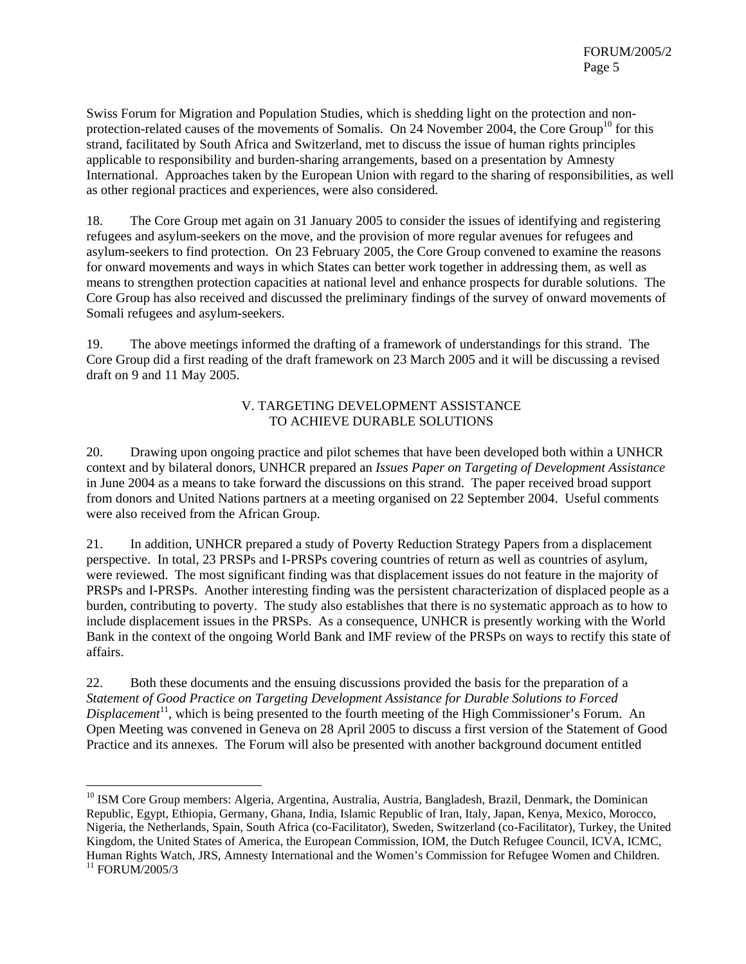Swiss Forum for Migration and Population Studies, which is shedding light on the protection and nonprotection-related causes of the movements of Somalis. On 24 November 2004, the Core Group<sup>10</sup> for this strand, facilitated by South Africa and Switzerland, met to discuss the issue of human rights principles applicable to responsibility and burden-sharing arrangements, based on a presentation by Amnesty International. Approaches taken by the European Union with regard to the sharing of responsibilities, as well as other regional practices and experiences, were also considered.

18. The Core Group met again on 31 January 2005 to consider the issues of identifying and registering refugees and asylum-seekers on the move, and the provision of more regular avenues for refugees and asylum-seekers to find protection. On 23 February 2005, the Core Group convened to examine the reasons for onward movements and ways in which States can better work together in addressing them, as well as means to strengthen protection capacities at national level and enhance prospects for durable solutions. The Core Group has also received and discussed the preliminary findings of the survey of onward movements of Somali refugees and asylum-seekers.

19. The above meetings informed the drafting of a framework of understandings for this strand. The Core Group did a first reading of the draft framework on 23 March 2005 and it will be discussing a revised draft on 9 and 11 May 2005.

### V. TARGETING DEVELOPMENT ASSISTANCE TO ACHIEVE DURABLE SOLUTIONS

20. Drawing upon ongoing practice and pilot schemes that have been developed both within a UNHCR context and by bilateral donors, UNHCR prepared an *Issues Paper on Targeting of Development Assistance* in June 2004 as a means to take forward the discussions on this strand. The paper received broad support from donors and United Nations partners at a meeting organised on 22 September 2004. Useful comments were also received from the African Group.

21. In addition, UNHCR prepared a study of Poverty Reduction Strategy Papers from a displacement perspective. In total, 23 PRSPs and I-PRSPs covering countries of return as well as countries of asylum, were reviewed. The most significant finding was that displacement issues do not feature in the majority of PRSPs and I-PRSPs. Another interesting finding was the persistent characterization of displaced people as a burden, contributing to poverty. The study also establishes that there is no systematic approach as to how to include displacement issues in the PRSPs. As a consequence, UNHCR is presently working with the World Bank in the context of the ongoing World Bank and IMF review of the PRSPs on ways to rectify this state of affairs.

22. Both these documents and the ensuing discussions provided the basis for the preparation of a *Statement of Good Practice on Targeting Development Assistance for Durable Solutions to Forced Displacement*<sup>11</sup>, which is being presented to the fourth meeting of the High Commissioner's Forum. An Open Meeting was convened in Geneva on 28 April 2005 to discuss a first version of the Statement of Good Practice and its annexes. The Forum will also be presented with another background document entitled

<sup>&</sup>lt;sup>10</sup> ISM Core Group members: Algeria, Argentina, Australia, Austria, Bangladesh, Brazil, Denmark, the Dominican Republic, Egypt, Ethiopia, Germany, Ghana, India, Islamic Republic of Iran, Italy, Japan, Kenya, Mexico, Morocco, Nigeria, the Netherlands, Spain, South Africa (co-Facilitator), Sweden, Switzerland (co-Facilitator), Turkey, the United Kingdom, the United States of America, the European Commission, IOM, the Dutch Refugee Council, ICVA, ICMC, Human Rights Watch, JRS, Amnesty International and the Women's Commission for Refugee Women and Children.  $11$  FORUM/2005/3